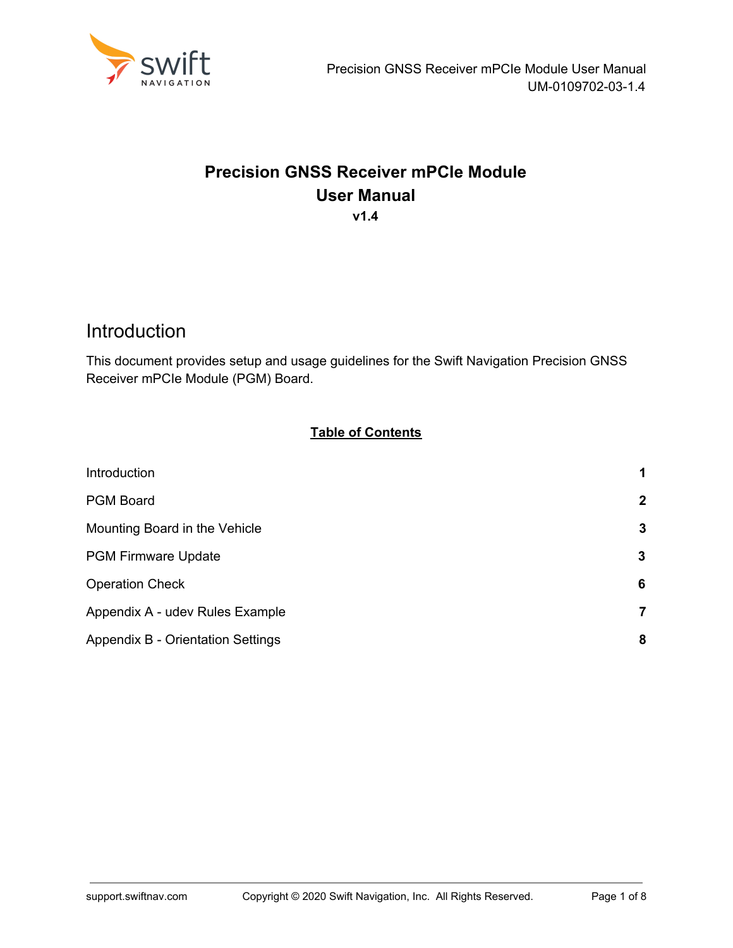

#### **Precision GNSS Receiver mPCIe Module User Manual v1.4**

## <span id="page-0-0"></span>**Introduction**

This document provides setup and usage guidelines for the Swift Navigation Precision GNSS Receiver mPCIe Module (PGM) Board.

#### **Table of Contents**

| Introduction                      | 1            |
|-----------------------------------|--------------|
| <b>PGM Board</b>                  | $\mathbf{2}$ |
| Mounting Board in the Vehicle     | 3            |
| <b>PGM Firmware Update</b>        | 3            |
| <b>Operation Check</b>            | 6            |
| Appendix A - udev Rules Example   | 7            |
| Appendix B - Orientation Settings | 8            |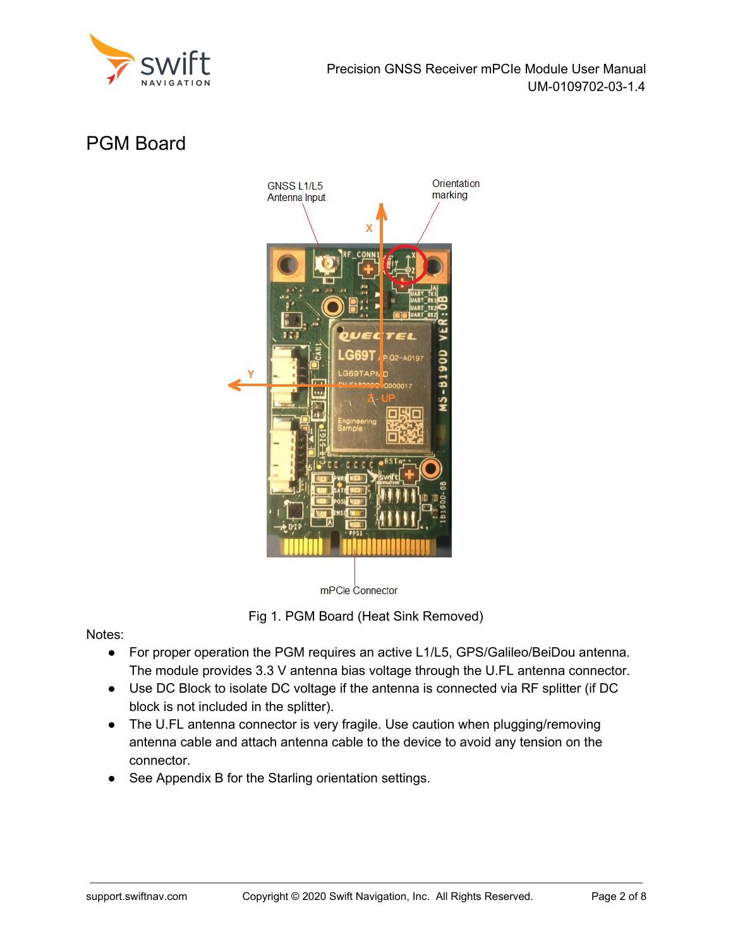

# <span id="page-1-0"></span>PGM Board



mPCle Connector

Fig 1. PGM Board (Heat Sink Removed)

Notes:

- For proper operation the PGM requires an active L1/L5, GPS/Galileo/BeiDou antenna. The module provides 3.3 V antenna bias voltage through the U.FL antenna connector.
- Use DC Block to isolate DC voltage if the antenna is connected via RF splitter (if DC block is not included in the splitter).
- The U.FL antenna connector is very fragile. Use caution when plugging/removing antenna cable and attach antenna cable to the device to avoid any tension on the connector.
- See Appendix B for the Starling orientation settings.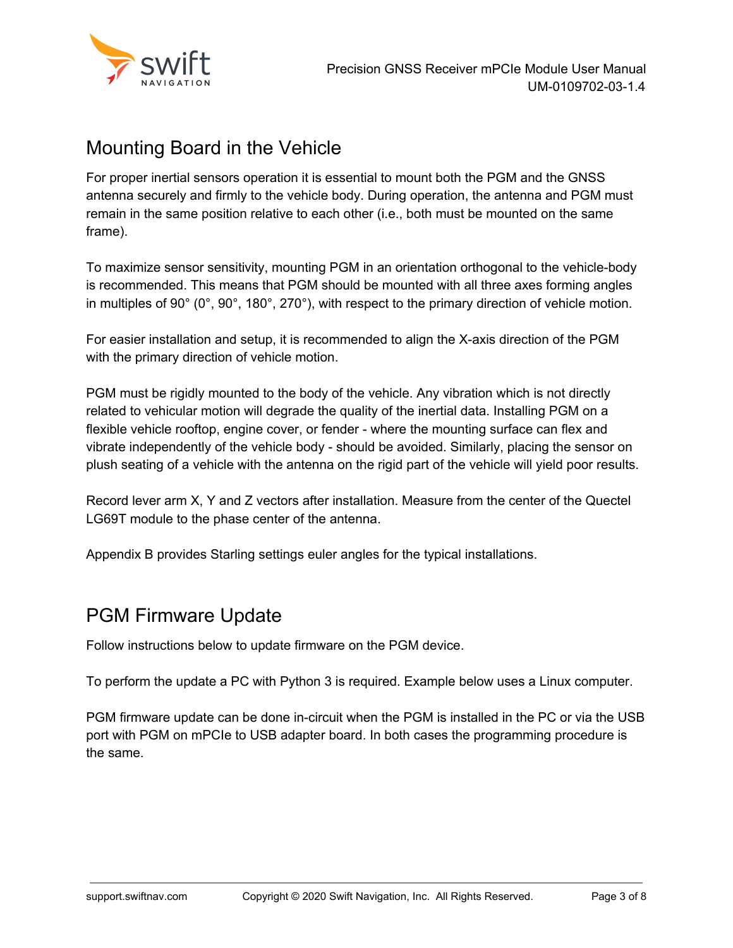

## <span id="page-2-0"></span>Mounting Board in the Vehicle

For proper inertial sensors operation it is essential to mount both the PGM and the GNSS antenna securely and firmly to the vehicle body. During operation, the antenna and PGM must remain in the same position relative to each other (i.e., both must be mounted on the same frame).

To maximize sensor sensitivity, mounting PGM in an orientation orthogonal to the vehicle-body is recommended. This means that PGM should be mounted with all three axes forming angles in multiples of 90° (0°, 90°, 180°, 270°), with respect to the primary direction of vehicle motion.

For easier installation and setup, it is recommended to align the X-axis direction of the PGM with the primary direction of vehicle motion.

PGM must be rigidly mounted to the body of the vehicle. Any vibration which is not directly related to vehicular motion will degrade the quality of the inertial data. Installing PGM on a flexible vehicle rooftop, engine cover, or fender - where the mounting surface can flex and vibrate independently of the vehicle body - should be avoided. Similarly, placing the sensor on plush seating of a vehicle with the antenna on the rigid part of the vehicle will yield poor results.

Record lever arm X, Y and Z vectors after installation. Measure from the center of the Quectel LG69T module to the phase center of the antenna.

Appendix B provides Starling settings euler angles for the typical installations.

### <span id="page-2-1"></span>PGM Firmware Update

Follow instructions below to update firmware on the PGM device.

To perform the update a PC with Python 3 is required. Example below uses a Linux computer.

PGM firmware update can be done in-circuit when the PGM is installed in the PC or via the USB port with PGM on mPCIe to USB adapter board. In both cases the programming procedure is the same.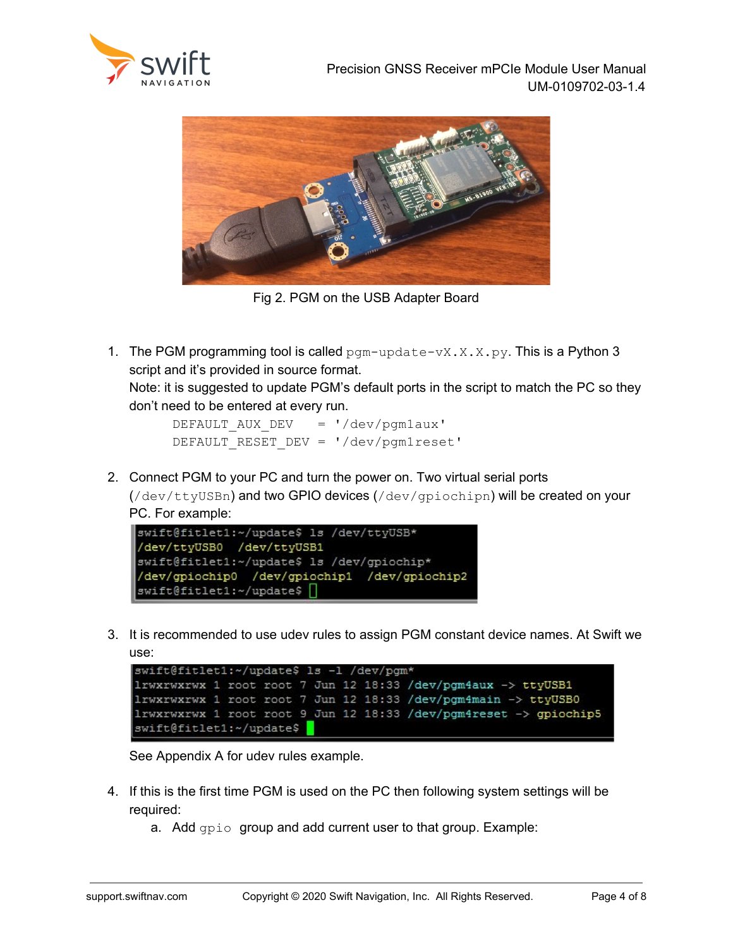



Fig 2. PGM on the USB Adapter Board

1. The PGM programming tool is called  $pgm-update-vX.X.py.$  This is a Python 3 script and it's provided in source format. Note: it is suggested to update PGM's default ports in the script to match the PC so they

don't need to be entered at every run.

DEFAULT AUX DEV = '/dev/pgm1aux' DEFAULT RESET DEV = '/dev/pgm1reset'

2. Connect PGM to your PC and turn the power on. Two virtual serial ports  $((\text{dev/ttyUSBn})$  and two GPIO devices  $((\text{dev/qpiochipn})$  will be created on your PC. For example:



3. It is recommended to use udev rules to assign PGM constant device names. At Swift we use:

```
swift@fitlet1:~/update$ ls -1 /dev/pgm*
lrwxrwxrwx 1 root root 7 Jun 12 18:33 /dev/pgm4aux -> ttyUSB1
1rwxrwxrwx 1 root root 7 Jun 12 18:33 /dev/pgm4main -> ttyUSB0
1rwxrwxrwx 1 root root 9 Jun 12 18:33 /dev/pgm4reset -> gpiochip5
swift@fitlet1:~/update$
```
See Appendix A for udev rules example.

- 4. If this is the first time PGM is used on the PC then following system settings will be required:
	- a. Add gpio group and add current user to that group. Example: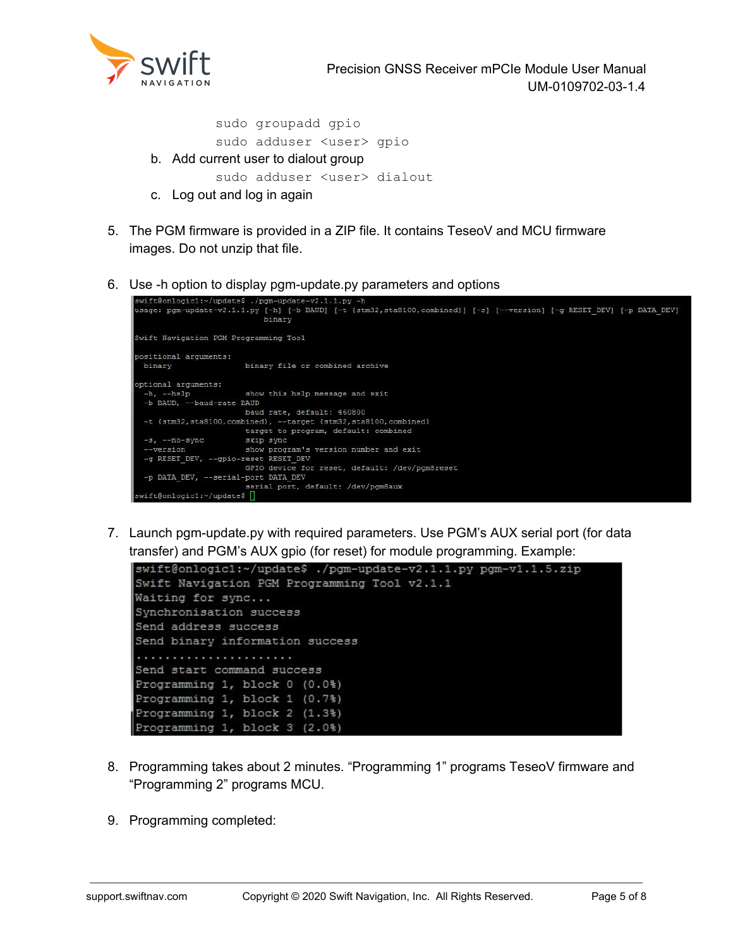

Precision GNSS Receiver mPCIe Module User Manual UM-0109702-03-1.4

sudo groupadd gpio sudo adduser <user> gpio b. Add current user to dialout group sudo adduser <user> dialout

- c. Log out and log in again
- 5. The PGM firmware is provided in a ZIP file. It contains TeseoV and MCU firmware images. Do not unzip that file.
- 6. Use -h option to display pgm-update.py parameters and options

```
swift@onlogic1:~/update$ ./pgm
swift@onlogic1:~/update$ ./pgm-update-v2.1.1.py -h<br>usage: pgm-update-v2.1.1.py [-h] [-b BAUD] [-t {stm32,sta8100,combined}] [-s] [--version] [-g RESET DEV] [-p DATA DEV]
                                  binary
Swift Navigation PGM Programming Tool
positional arguments:
 binary
                             binary file or combined archive
optional arguments:
  -h, -helpshow this help message and exit
  -b BAUD, --baud-rate BAUD
                            baud rate, default: 460800
 -t {stm32, sta8100, combined}, --target {stm32, sta8100, combined}<br>target to program, default: combined<br>-s, --no-sync skip sync<br>--version show program's version number and exit
                            show program's version number and exit
  --version
 -g RESET_DEV, --gpio-reset RESET_DEV
                             GPIO device for reset, default: /dev/pgm8reset
  -p DATA DEV, --serial-port DATA DEV
                              serial port, default: /dev/pgm8aux
 wift@onlogic1:~/update$
```
7. Launch pgm-update.py with required parameters. Use PGM's AUX serial port (for data transfer) and PGM's AUX gpio (for reset) for module programming. Example:



- 8. Programming takes about 2 minutes. "Programming 1" programs TeseoV firmware and "Programming 2" programs MCU.
- 9. Programming completed: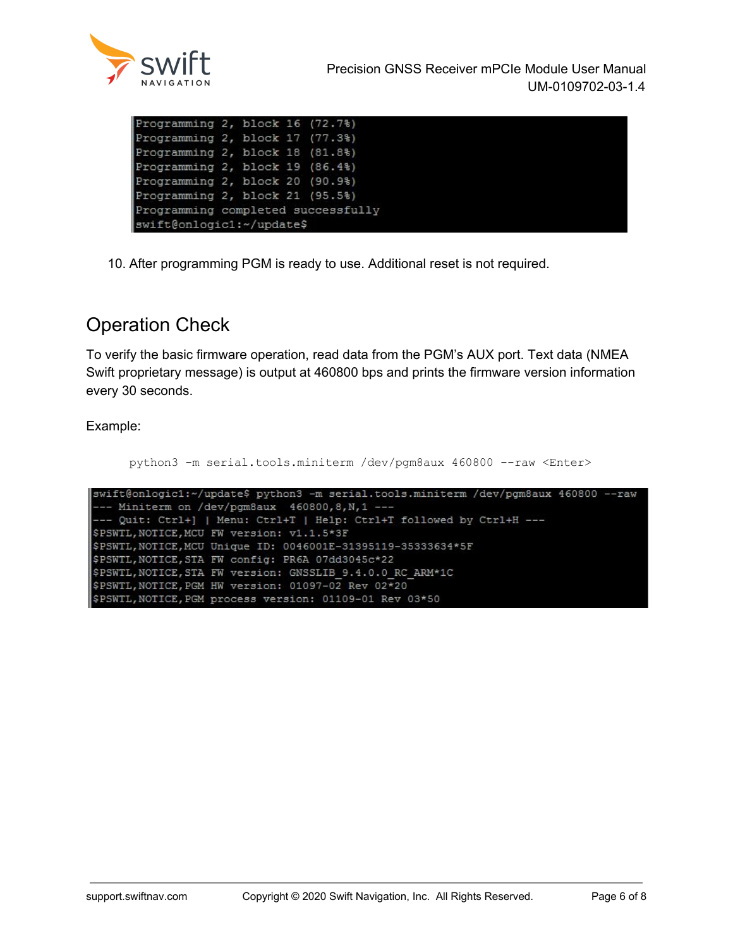

| Programming 2, block 16 (72.7%)<br>Programming 2, block 17 (77.3%)<br>Programming 2, block 18 (81.8%)<br>Programming 2, block 19 (86.4%)<br>Programming 2, block 20 (90.9%)<br>Programming 2, block 21 (95.5%)<br>Programming completed successfully<br>swift@onlogic1:~/update\$ |  |  |  |  |
|-----------------------------------------------------------------------------------------------------------------------------------------------------------------------------------------------------------------------------------------------------------------------------------|--|--|--|--|
|                                                                                                                                                                                                                                                                                   |  |  |  |  |
|                                                                                                                                                                                                                                                                                   |  |  |  |  |
|                                                                                                                                                                                                                                                                                   |  |  |  |  |
|                                                                                                                                                                                                                                                                                   |  |  |  |  |
|                                                                                                                                                                                                                                                                                   |  |  |  |  |
|                                                                                                                                                                                                                                                                                   |  |  |  |  |
|                                                                                                                                                                                                                                                                                   |  |  |  |  |
|                                                                                                                                                                                                                                                                                   |  |  |  |  |

10. After programming PGM is ready to use. Additional reset is not required.

# <span id="page-5-0"></span>Operation Check

To verify the basic firmware operation, read data from the PGM's AUX port. Text data (NMEA Swift proprietary message) is output at 460800 bps and prints the firmware version information every 30 seconds.

Example:

```
python3 -m serial.tools.miniterm /dev/pgm8aux 460800 --raw <Enter>
swift@onlogic1:~/update$ python3 -m serial.tools.miniterm /dev/pgm8aux 460800 --raw
 -- Miniterm on /dev/pgm8aux 460800, 8, N, 1 ---
 -- Quit: Ctrl+] | Menu: Ctrl+T | Help: Ctrl+T followed by Ctrl+H ---
$PSWTL, NOTICE, MCU FW version: v1.1.5*3F
$PSWTL, NOTICE, MCU Unique ID: 0046001E-31395119-35333634*5F
$PSWTL, NOTICE, STA FW config: PR6A 07dd3045c*22
$PSWIL, NOTICE, STA FW version: GNSSLIB 9.4.0.0 RC ARM*1C
$PSWTL, NOTICE, PGM HW version: 01097-02 Rev 02*20
$PSWTL, NOTICE, PGM process version: 01109-01 Rev 03*50
```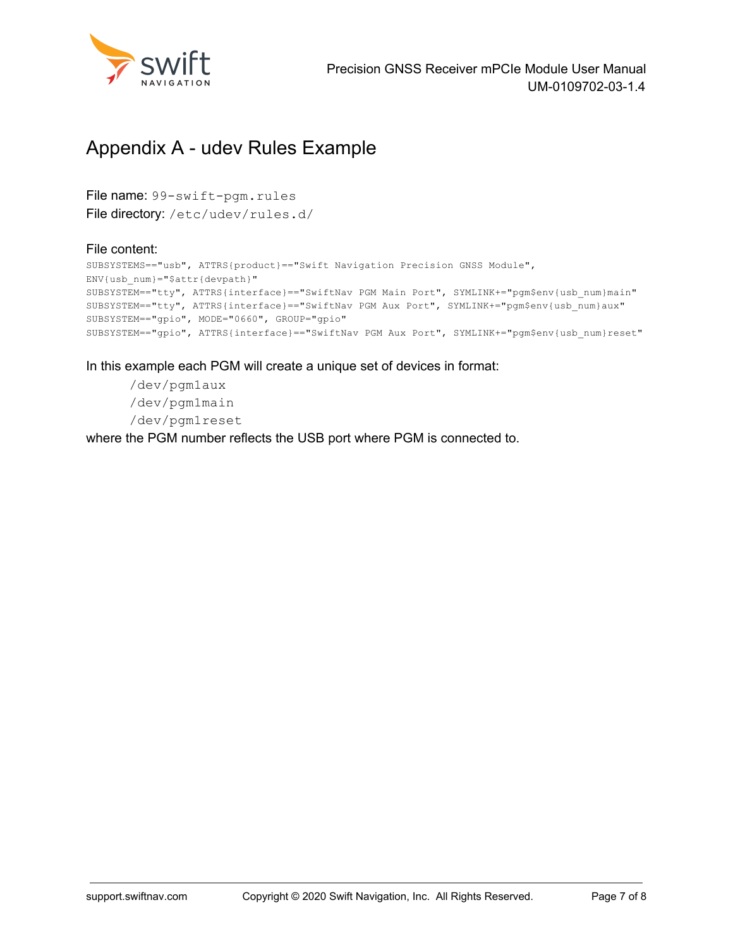

## <span id="page-6-0"></span>Appendix A - udev Rules Example

File name: 99-swift-pgm.rules File directory: /etc/udev/rules.d/

#### File content:

```
SUBSYSTEMS=="usb", ATTRS{product}=="Swift Navigation Precision GNSS Module",
ENV{usb_num}="$attr{devpath}"
SUBSYSTEM=="tty", ATTRS{interface}=="SwiftNav PGM Main Port", SYMLINK+="pgm$env{usb_num}main"
SUBSYSTEM=="tty", ATTRS{interface}=="SwiftNav PGM Aux Port", SYMLINK+="pgm$env{usb_num}aux"
SUBSYSTEM=="gpio", MODE="0660", GROUP="gpio"
SUBSYSTEM=="gpio", ATTRS{interface}=="SwiftNav PGM Aux Port", SYMLINK+="pgm$env{usb_num}reset"
```
In this example each PGM will create a unique set of devices in format:

/dev/pgm1aux /dev/pgm1main /dev/pgm1reset

where the PGM number reflects the USB port where PGM is connected to.